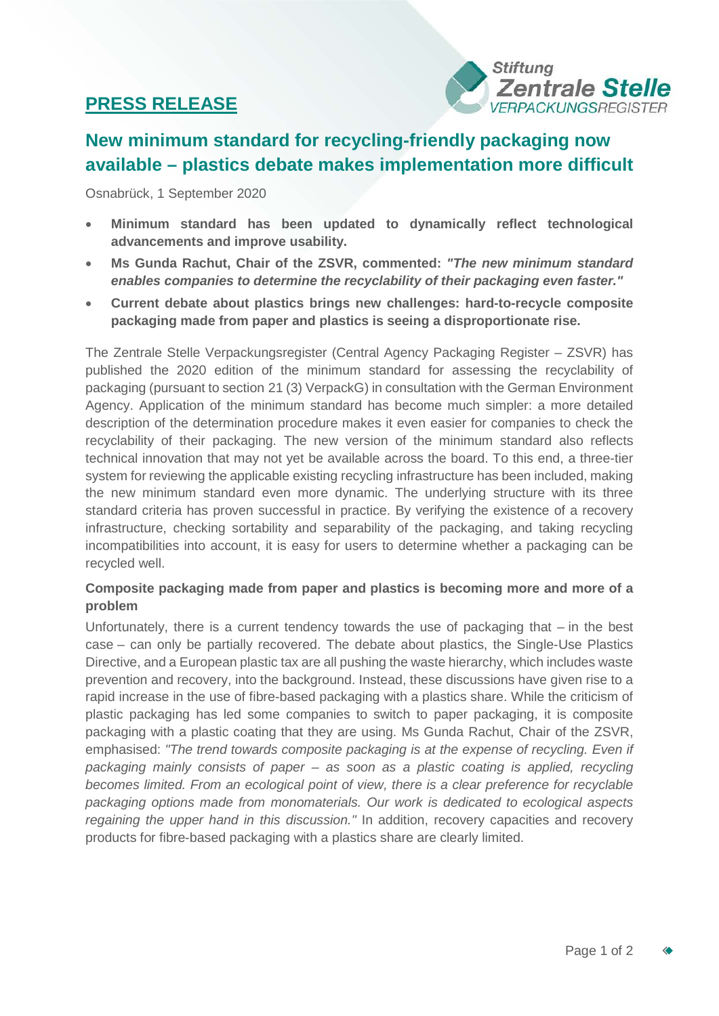## **PRESS RELEASE**



# **New minimum standard for recycling-friendly packaging now available – plastics debate makes implementation more difficult**

Osnabrück, 1 September 2020

- **Minimum standard has been updated to dynamically reflect technological advancements and improve usability.**
- **Ms Gunda Rachut, Chair of the ZSVR, commented:** *"The new minimum standard enables companies to determine the recyclability of their packaging even faster."*
- **Current debate about plastics brings new challenges: hard-to-recycle composite packaging made from paper and plastics is seeing a disproportionate rise.**

The Zentrale Stelle Verpackungsregister (Central Agency Packaging Register – ZSVR) has published the 2020 edition of the minimum standard for assessing the recyclability of packaging (pursuant to section 21 (3) VerpackG) in consultation with the German Environment Agency. Application of the minimum standard has become much simpler: a more detailed description of the determination procedure makes it even easier for companies to check the recyclability of their packaging. The new version of the minimum standard also reflects technical innovation that may not yet be available across the board. To this end, a three-tier system for reviewing the applicable existing recycling infrastructure has been included, making the new minimum standard even more dynamic. The underlying structure with its three standard criteria has proven successful in practice. By verifying the existence of a recovery infrastructure, checking sortability and separability of the packaging, and taking recycling incompatibilities into account, it is easy for users to determine whether a packaging can be recycled well.

## **Composite packaging made from paper and plastics is becoming more and more of a problem**

Unfortunately, there is a current tendency towards the use of packaging that – in the best case – can only be partially recovered. The debate about plastics, the Single-Use Plastics Directive, and a European plastic tax are all pushing the waste hierarchy, which includes waste prevention and recovery, into the background. Instead, these discussions have given rise to a rapid increase in the use of fibre-based packaging with a plastics share. While the criticism of plastic packaging has led some companies to switch to paper packaging, it is composite packaging with a plastic coating that they are using. Ms Gunda Rachut, Chair of the ZSVR, emphasised: *"The trend towards composite packaging is at the expense of recycling. Even if packaging mainly consists of paper – as soon as a plastic coating is applied, recycling becomes limited. From an ecological point of view, there is a clear preference for recyclable packaging options made from monomaterials. Our work is dedicated to ecological aspects regaining the upper hand in this discussion."* In addition, recovery capacities and recovery products for fibre-based packaging with a plastics share are clearly limited.